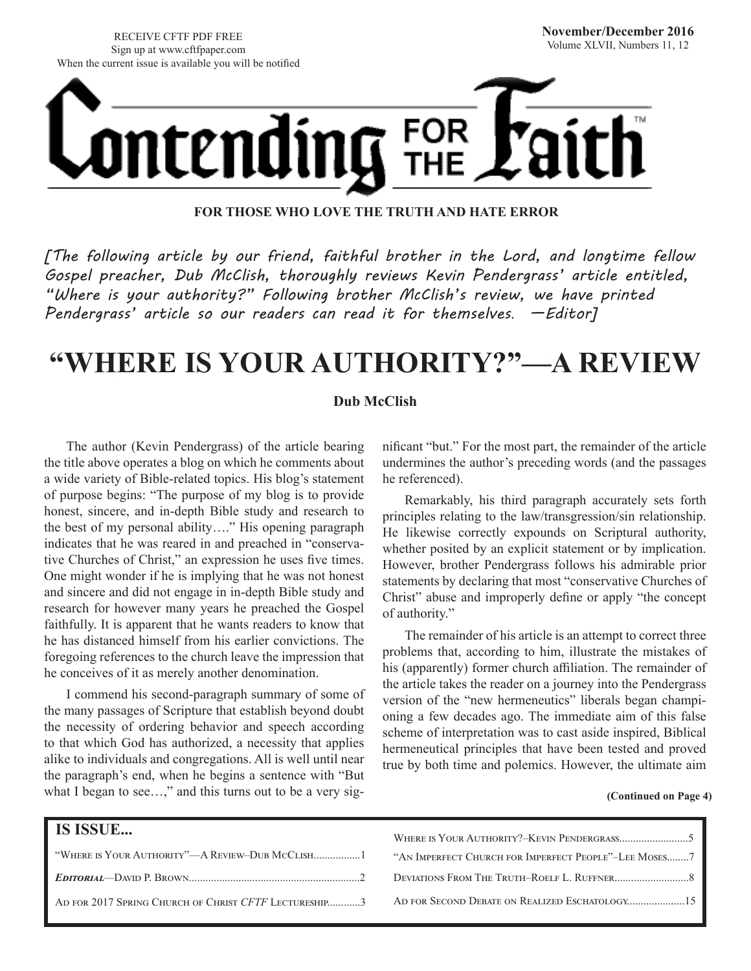RECEIVE CFTF PDF FREE Sign up at www.cftfpaper.com When the current issue is available you will be notified



**FOR THOSE WHO LOVE THE TRUTH AND HATE ERROR**

*[The following article by our friend, faithful brother in the Lord, and longtime fellow Gospel preacher, Dub McClish, thoroughly reviews Kevin Pendergrass' article entitled, "Where is your authority?" Following brother McClish's review, we have printed Pendergrass' article so our readers can read it for themselves*. *—Editor]*

## **"WHERE IS YOUR AUTHORITY?"—A REVIEW**

#### **Dub McClish**

The author (Kevin Pendergrass) of the article bearing the title above operates a blog on which he comments about a wide variety of Bible-related topics. His blog's statement of purpose begins: "The purpose of my blog is to provide honest, sincere, and in-depth Bible study and research to the best of my personal ability…." His opening paragraph indicates that he was reared in and preached in "conservative Churches of Christ," an expression he uses five times. One might wonder if he is implying that he was not honest and sincere and did not engage in in-depth Bible study and research for however many years he preached the Gospel faithfully. It is apparent that he wants readers to know that he has distanced himself from his earlier convictions. The foregoing references to the church leave the impression that he conceives of it as merely another denomination.

I commend his second-paragraph summary of some of the many passages of Scripture that establish beyond doubt the necessity of ordering behavior and speech according to that which God has authorized, a necessity that applies alike to individuals and congregations. All is well until near the paragraph's end, when he begins a sentence with "But what I began to see...," and this turns out to be a very sig-

nificant "but." For the most part, the remainder of the article undermines the author's preceding words (and the passages he referenced).

Remarkably, his third paragraph accurately sets forth principles relating to the law/transgression/sin relationship. He likewise correctly expounds on Scriptural authority, whether posited by an explicit statement or by implication. However, brother Pendergrass follows his admirable prior statements by declaring that most "conservative Churches of Christ" abuse and improperly define or apply "the concept of authority."

The remainder of his article is an attempt to correct three problems that, according to him, illustrate the mistakes of his (apparently) former church affiliation. The remainder of the article takes the reader on a journey into the Pendergrass version of the "new hermeneutics" liberals began championing a few decades ago. The immediate aim of this false scheme of interpretation was to cast aside inspired, Biblical hermeneutical principles that have been tested and proved true by both time and polemics. However, the ultimate aim

#### **(Continued on Page 4)**

| <b>IS ISSUE</b>                                       |                                                       |
|-------------------------------------------------------|-------------------------------------------------------|
|                                                       | "AN IMPERFECT CHURCH FOR IMPERFECT PEOPLE"-LEE MOSES7 |
|                                                       |                                                       |
| AD FOR 2017 SPRING CHURCH OF CHRIST CFTF LECTURESHIP3 |                                                       |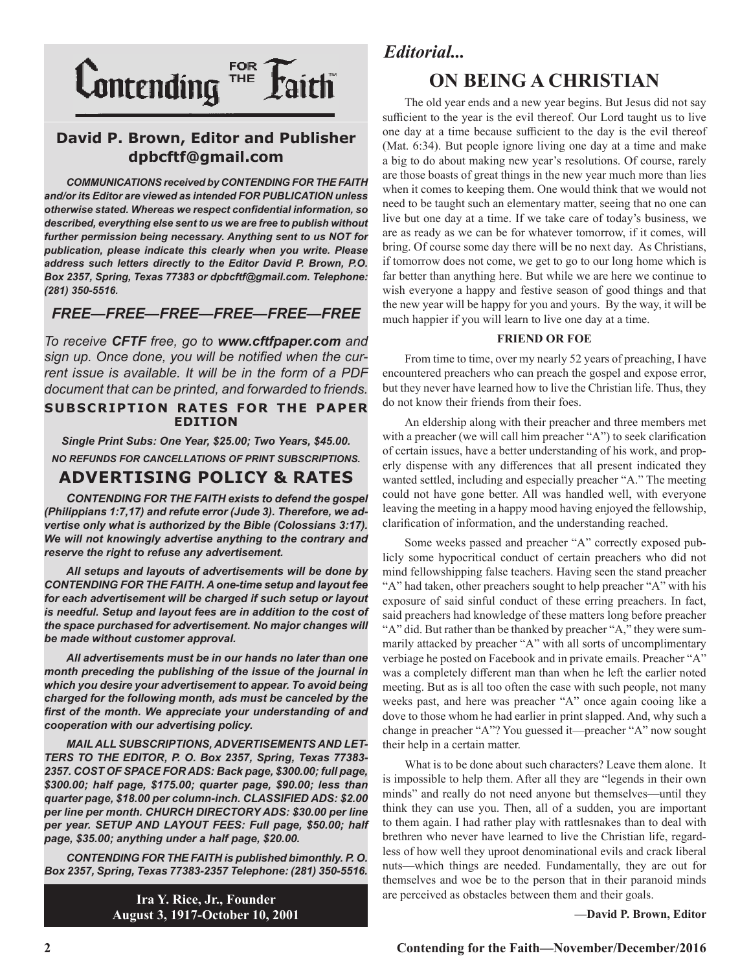

### **David P. Brown, Editor and Publisher dpbcftf@gmail.com**

*COMMUNICATIONS received by CONTENDING FOR THE FAITH and/or its Editor are viewed as intended FOR PUBLICATION unless otherwise stated. Whereas we respect confidential information, so described, everything else sent to us we are free to publish without further permission being necessary. Anything sent to us NOT for publication, please indicate this clearly when you write. Please address such letters directly to the Editor David P. Brown, P.O. Box 2357, Spring, Texas 77383 or dpbcftf@gmail.com. Telephone: (281) 350-5516.*

### *FREE—FREE—FREE—FREE—FREE—FREE*

*To receive CFTF free, go to www.cftfpaper.com and sign up. Once done, you will be notified when the current issue is available. It will be in the form of a PDF document that can be printed, and forwarded to friends.*

#### **SUBSCRIPTION RATES FOR THE PAPER EDITION**

*Single Print Subs: One Year, \$25.00; Two Years, \$45.00. NO REFUNDS FOR CANCELLATIONS OF PRINT SUBSCRIPTIONS.*

### **ADVERTISING POLICY & RATES**

*CONTENDING FOR THE FAITH exists to defend the gospel (Philippians 1:7,17) and refute error (Jude 3). Therefore, we advertise only what is authorized by the Bible (Colossians 3:17). We will not knowingly advertise anything to the contrary and reserve the right to refuse any advertisement.*

*All setups and layouts of advertisements will be done by CONTENDING FOR THE FAITH. A one-time setup and layout fee for each advertisement will be charged if such setup or layout is needful. Setup and layout fees are in addition to the cost of the space purchased for advertisement. No major changes will be made without customer approval.*

*All advertisements must be in our hands no later than one month preceding the publishing of the issue of the journal in which you desire your advertisement to appear. To avoid being charged for the following month, ads must be canceled by the first of the month. We appreciate your understanding of and cooperation with our advertising policy.*

*MAIL ALL SUBSCRIPTIONS, ADVERTISEMENTS AND LET-TERS TO THE EDITOR, P. O. Box 2357, Spring, Texas 77383- 2357. COST OF SPACE FOR ADS: Back page, \$300.00; full page, \$300.00; half page, \$175.00; quarter page, \$90.00; less than quarter page, \$18.00 per column-inch. CLASSIFIED ADS: \$2.00 per line per month. CHURCH DIRECTORY ADS: \$30.00 per line per year. SETUP AND LAYOUT FEES: Full page, \$50.00; half page, \$35.00; anything under a half page, \$20.00.*

*CONTENDING FOR THE FAITH is published bimonthly. P. O. Box 2357, Spring, Texas 77383-2357 Telephone: (281) 350-5516.*

> **Ira Y. Rice, Jr., Founder August 3, 1917-October 10, 2001**

### *Editorial...*

## **ON BEING A CHRISTIAN**

The old year ends and a new year begins. But Jesus did not say sufficient to the year is the evil thereof. Our Lord taught us to live one day at a time because sufficient to the day is the evil thereof (Mat. 6:34). But people ignore living one day at a time and make a big to do about making new year's resolutions. Of course, rarely are those boasts of great things in the new year much more than lies when it comes to keeping them. One would think that we would not need to be taught such an elementary matter, seeing that no one can live but one day at a time. If we take care of today's business, we are as ready as we can be for whatever tomorrow, if it comes, will bring. Of course some day there will be no next day. As Christians, if tomorrow does not come, we get to go to our long home which is far better than anything here. But while we are here we continue to wish everyone a happy and festive season of good things and that the new year will be happy for you and yours. By the way, it will be much happier if you will learn to live one day at a time.

#### **FRIEND OR FOE**

From time to time, over my nearly 52 years of preaching, I have encountered preachers who can preach the gospel and expose error, but they never have learned how to live the Christian life. Thus, they do not know their friends from their foes.

An eldership along with their preacher and three members met with a preacher (we will call him preacher "A") to seek clarification of certain issues, have a better understanding of his work, and properly dispense with any differences that all present indicated they wanted settled, including and especially preacher "A." The meeting could not have gone better. All was handled well, with everyone leaving the meeting in a happy mood having enjoyed the fellowship, clarification of information, and the understanding reached.

Some weeks passed and preacher "A" correctly exposed publicly some hypocritical conduct of certain preachers who did not mind fellowshipping false teachers. Having seen the stand preacher "A" had taken, other preachers sought to help preacher "A" with his exposure of said sinful conduct of these erring preachers. In fact, said preachers had knowledge of these matters long before preacher "A" did. But rather than be thanked by preacher "A," they were summarily attacked by preacher "A" with all sorts of uncomplimentary verbiage he posted on Facebook and in private emails. Preacher "A" was a completely different man than when he left the earlier noted meeting. But as is all too often the case with such people, not many weeks past, and here was preacher "A" once again cooing like a dove to those whom he had earlier in print slapped. And, why such a change in preacher "A"? You guessed it—preacher "A" now sought their help in a certain matter.

What is to be done about such characters? Leave them alone. It is impossible to help them. After all they are "legends in their own minds" and really do not need anyone but themselves—until they think they can use you. Then, all of a sudden, you are important to them again. I had rather play with rattlesnakes than to deal with brethren who never have learned to live the Christian life, regardless of how well they uproot denominational evils and crack liberal nuts—which things are needed. Fundamentally, they are out for themselves and woe be to the person that in their paranoid minds are perceived as obstacles between them and their goals.

**—David P. Brown, Editor**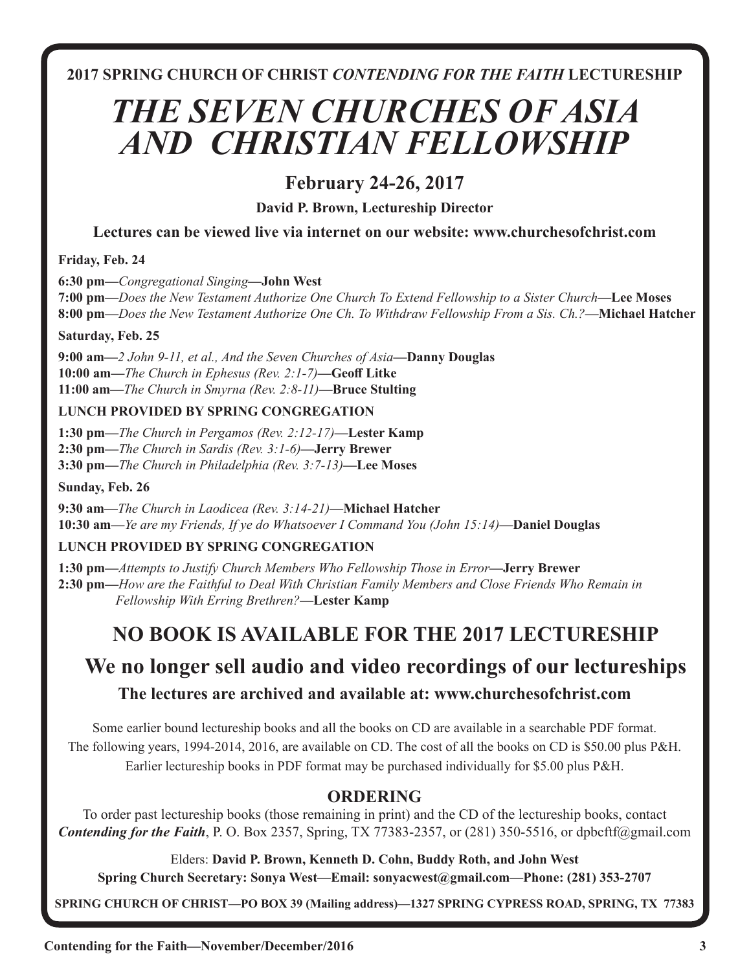**2017 SPRING CHURCH OF CHRIST** *CONTENDING FOR THE FAITH* **LECTURESHIP**

## *THE SEVEN CHURCHES OF ASIA AND CHRISTIAN FELLOWSHIP*

## **February 24-26, 2017**

**David P. Brown, Lectureship Director**

**Lectures can be viewed live via internet on our website: www.churchesofchrist.com**

**Friday, Feb. 24**

**6:30 pm—***Congregational Singing***—John West**

**7:00 pm—***Does the New Testament Authorize One Church To Extend Fellowship to a Sister Church***—Lee Moses 8:00 pm—***Does the New Testament Authorize One Ch. To Withdraw Fellowship From a Sis. Ch.?***—Michael Hatcher**

**Saturday, Feb. 25**

**9:00 am—***2 John 9-11, et al., And the Seven Churches of Asia***—Danny Douglas 10:00 am—***The Church in Ephesus (Rev. 2:1-7)***—Geoff Litke 11:00 am—***The Church in Smyrna (Rev. 2:8-11)***—Bruce Stulting**

### **LUNCH PROVIDED BY SPRING CONGREGATION**

**1:30 pm—***The Church in Pergamos (Rev. 2:12-17)***—Lester Kamp 2:30 pm—***The Church in Sardis (Rev. 3:1-6)***—Jerry Brewer 3:30 pm—***The Church in Philadelphia (Rev. 3:7-13)***—Lee Moses** 

### **Sunday, Feb. 26**

**9:30 am—***The Church in Laodicea (Rev. 3:14-21)***—Michael Hatcher 10:30 am—***Ye are my Friends, If ye do Whatsoever I Command You (John 15:14)***—Daniel Douglas**

## **LUNCH PROVIDED BY SPRING CONGREGATION**

**1:30 pm—***Attempts to Justify Church Members Who Fellowship Those in Error***—Jerry Brewer 2:30 pm—***How are the Faithful to Deal With Christian Family Members and Close Friends Who Remain in Fellowship With Erring Brethren?***—Lester Kamp** 

## **NO BOOK IS AVAILABLE FOR THE 2017 LECTURESHIP**

## **We no longer sell audio and video recordings of our lectureships**

## **The lectures are archived and available at: www.churchesofchrist.com**

Some earlier bound lectureship books and all the books on CD are available in a searchable PDF format. The following years, 1994-2014, 2016, are available on CD. The cost of all the books on CD is \$50.00 plus P&H. Earlier lectureship books in PDF format may be purchased individually for \$5.00 plus P&H.

## **ORDERING**

To order past lectureship books (those remaining in print) and the CD of the lectureship books, contact *Contending for the Faith*, P. O. Box 2357, Spring, TX 77383-2357, or (281) 350-5516, or dpbcftf@gmail.com

Elders: **David P. Brown, Kenneth D. Cohn, Buddy Roth, and John West**

**Spring Church Secretary: Sonya West—Email: sonyacwest@gmail.com—Phone: (281) 353-2707**

**SPRING CHURCH OF CHRIST—PO BOX 39 (Mailing address)—1327 SPRING CYPRESS ROAD, SPRING, TX 77383**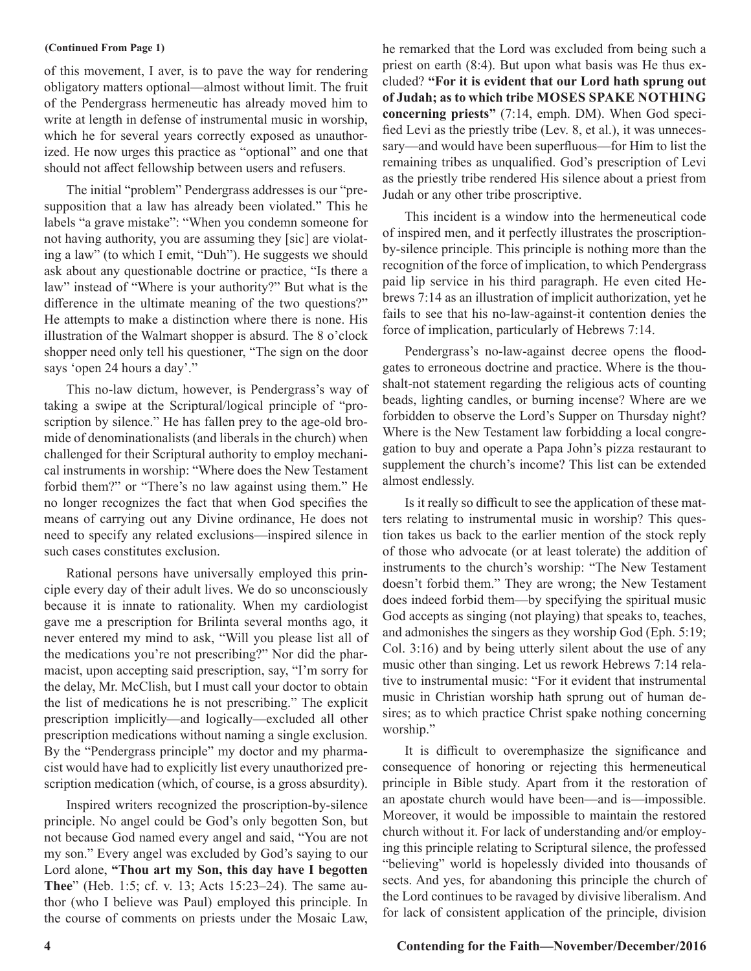of this movement, I aver, is to pave the way for rendering obligatory matters optional—almost without limit. The fruit of the Pendergrass hermeneutic has already moved him to write at length in defense of instrumental music in worship, which he for several years correctly exposed as unauthorized. He now urges this practice as "optional" and one that should not affect fellowship between users and refusers.

The initial "problem" Pendergrass addresses is our "presupposition that a law has already been violated." This he labels "a grave mistake": "When you condemn someone for not having authority, you are assuming they [sic] are violating a law" (to which I emit, "Duh"). He suggests we should ask about any questionable doctrine or practice, "Is there a law" instead of "Where is your authority?" But what is the difference in the ultimate meaning of the two questions?" He attempts to make a distinction where there is none. His illustration of the Walmart shopper is absurd. The 8 o'clock shopper need only tell his questioner, "The sign on the door says 'open 24 hours a day'."

This no-law dictum, however, is Pendergrass's way of taking a swipe at the Scriptural/logical principle of "proscription by silence." He has fallen prey to the age-old bromide of denominationalists (and liberals in the church) when challenged for their Scriptural authority to employ mechanical instruments in worship: "Where does the New Testament forbid them?" or "There's no law against using them." He no longer recognizes the fact that when God specifies the means of carrying out any Divine ordinance, He does not need to specify any related exclusions—inspired silence in such cases constitutes exclusion.

Rational persons have universally employed this principle every day of their adult lives. We do so unconsciously because it is innate to rationality. When my cardiologist gave me a prescription for Brilinta several months ago, it never entered my mind to ask, "Will you please list all of the medications you're not prescribing?" Nor did the pharmacist, upon accepting said prescription, say, "I'm sorry for the delay, Mr. McClish, but I must call your doctor to obtain the list of medications he is not prescribing." The explicit prescription implicitly—and logically—excluded all other prescription medications without naming a single exclusion. By the "Pendergrass principle" my doctor and my pharmacist would have had to explicitly list every unauthorized prescription medication (which, of course, is a gross absurdity).

Inspired writers recognized the proscription-by-silence principle. No angel could be God's only begotten Son, but not because God named every angel and said, "You are not my son." Every angel was excluded by God's saying to our Lord alone, **"Thou art my Son, this day have I begotten Thee**" (Heb. 1:5; cf. v. 13; Acts 15:23–24). The same author (who I believe was Paul) employed this principle. In the course of comments on priests under the Mosaic Law,

**(Continued From Page 1)** he remarked that the Lord was excluded from being such a priest on earth (8:4). But upon what basis was He thus excluded? **"For it is evident that our Lord hath sprung out of Judah; as to which tribe MOSES SPAKE NOTHING concerning priests"** (7:14, emph. DM). When God specified Levi as the priestly tribe (Lev. 8, et al.), it was unnecessary—and would have been superfluous—for Him to list the remaining tribes as unqualified. God's prescription of Levi as the priestly tribe rendered His silence about a priest from Judah or any other tribe proscriptive.

> This incident is a window into the hermeneutical code of inspired men, and it perfectly illustrates the proscriptionby-silence principle. This principle is nothing more than the recognition of the force of implication, to which Pendergrass paid lip service in his third paragraph. He even cited Hebrews 7:14 as an illustration of implicit authorization, yet he fails to see that his no-law-against-it contention denies the force of implication, particularly of Hebrews 7:14.

> Pendergrass's no-law-against decree opens the floodgates to erroneous doctrine and practice. Where is the thoushalt-not statement regarding the religious acts of counting beads, lighting candles, or burning incense? Where are we forbidden to observe the Lord's Supper on Thursday night? Where is the New Testament law forbidding a local congregation to buy and operate a Papa John's pizza restaurant to supplement the church's income? This list can be extended almost endlessly.

> Is it really so difficult to see the application of these matters relating to instrumental music in worship? This question takes us back to the earlier mention of the stock reply of those who advocate (or at least tolerate) the addition of instruments to the church's worship: "The New Testament doesn't forbid them." They are wrong; the New Testament does indeed forbid them—by specifying the spiritual music God accepts as singing (not playing) that speaks to, teaches, and admonishes the singers as they worship God (Eph. 5:19; Col. 3:16) and by being utterly silent about the use of any music other than singing. Let us rework Hebrews 7:14 relative to instrumental music: "For it evident that instrumental music in Christian worship hath sprung out of human desires; as to which practice Christ spake nothing concerning worship."

> It is difficult to overemphasize the significance and consequence of honoring or rejecting this hermeneutical principle in Bible study. Apart from it the restoration of an apostate church would have been—and is—impossible. Moreover, it would be impossible to maintain the restored church without it. For lack of understanding and/or employing this principle relating to Scriptural silence, the professed "believing" world is hopelessly divided into thousands of sects. And yes, for abandoning this principle the church of the Lord continues to be ravaged by divisive liberalism. And for lack of consistent application of the principle, division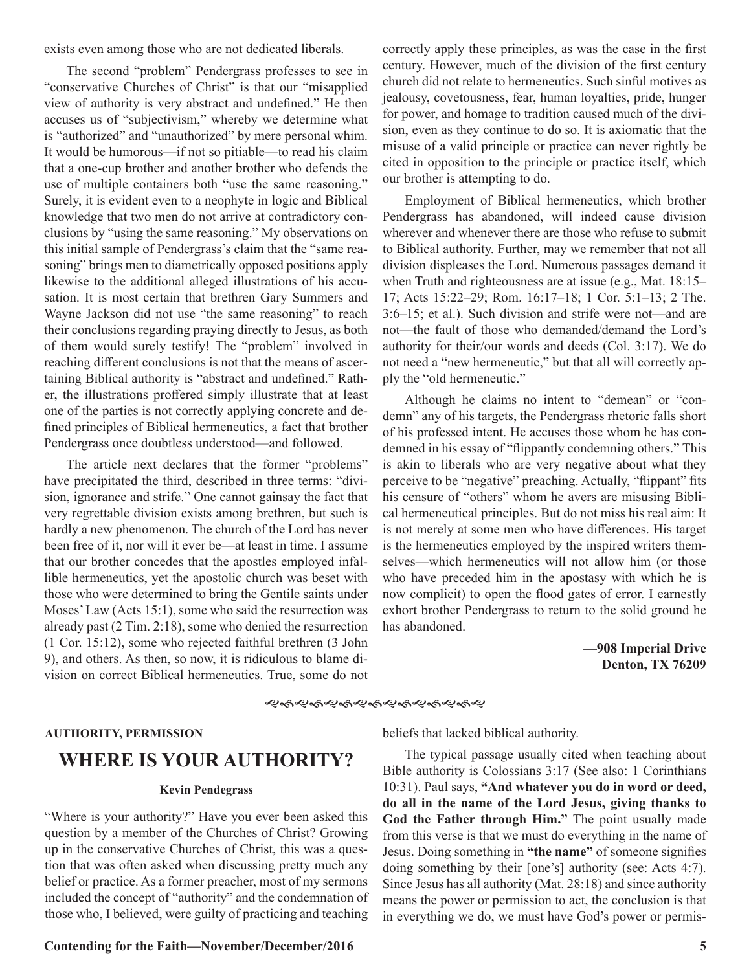exists even among those who are not dedicated liberals.

The second "problem" Pendergrass professes to see in "conservative Churches of Christ" is that our "misapplied view of authority is very abstract and undefined." He then accuses us of "subjectivism," whereby we determine what is "authorized" and "unauthorized" by mere personal whim. It would be humorous—if not so pitiable—to read his claim that a one-cup brother and another brother who defends the use of multiple containers both "use the same reasoning." Surely, it is evident even to a neophyte in logic and Biblical knowledge that two men do not arrive at contradictory conclusions by "using the same reasoning." My observations on this initial sample of Pendergrass's claim that the "same reasoning" brings men to diametrically opposed positions apply likewise to the additional alleged illustrations of his accusation. It is most certain that brethren Gary Summers and Wayne Jackson did not use "the same reasoning" to reach their conclusions regarding praying directly to Jesus, as both of them would surely testify! The "problem" involved in reaching different conclusions is not that the means of ascertaining Biblical authority is "abstract and undefined." Rather, the illustrations proffered simply illustrate that at least one of the parties is not correctly applying concrete and defined principles of Biblical hermeneutics, a fact that brother Pendergrass once doubtless understood—and followed.

The article next declares that the former "problems" have precipitated the third, described in three terms: "division, ignorance and strife." One cannot gainsay the fact that very regrettable division exists among brethren, but such is hardly a new phenomenon. The church of the Lord has never been free of it, nor will it ever be—at least in time. I assume that our brother concedes that the apostles employed infallible hermeneutics, yet the apostolic church was beset with those who were determined to bring the Gentile saints under Moses' Law (Acts 15:1), some who said the resurrection was already past (2 Tim. 2:18), some who denied the resurrection (1 Cor. 15:12), some who rejected faithful brethren (3 John 9), and others. As then, so now, it is ridiculous to blame division on correct Biblical hermeneutics. True, some do not

correctly apply these principles, as was the case in the first century. However, much of the division of the first century church did not relate to hermeneutics. Such sinful motives as jealousy, covetousness, fear, human loyalties, pride, hunger for power, and homage to tradition caused much of the division, even as they continue to do so. It is axiomatic that the misuse of a valid principle or practice can never rightly be cited in opposition to the principle or practice itself, which our brother is attempting to do.

Employment of Biblical hermeneutics, which brother Pendergrass has abandoned, will indeed cause division wherever and whenever there are those who refuse to submit to Biblical authority. Further, may we remember that not all division displeases the Lord. Numerous passages demand it when Truth and righteousness are at issue (e.g., Mat. 18:15– 17; Acts 15:22–29; Rom. 16:17–18; 1 Cor. 5:1–13; 2 The. 3:6–15; et al.). Such division and strife were not—and are not—the fault of those who demanded/demand the Lord's authority for their/our words and deeds (Col. 3:17). We do not need a "new hermeneutic," but that all will correctly apply the "old hermeneutic."

Although he claims no intent to "demean" or "condemn" any of his targets, the Pendergrass rhetoric falls short of his professed intent. He accuses those whom he has condemned in his essay of "flippantly condemning others." This is akin to liberals who are very negative about what they perceive to be "negative" preaching. Actually, "flippant" fits his censure of "others" whom he avers are misusing Biblical hermeneutical principles. But do not miss his real aim: It is not merely at some men who have differences. His target is the hermeneutics employed by the inspired writers themselves—which hermeneutics will not allow him (or those who have preceded him in the apostasy with which he is now complicit) to open the flood gates of error. I earnestly exhort brother Pendergrass to return to the solid ground he has abandoned.

> **—908 Imperial Drive Denton, TX 76209**

#### **AUTHORITY, PERMISSION**

## **WHERE IS YOUR AUTHORITY?**

#### **Kevin Pendegrass**

"Where is your authority?" Have you ever been asked this question by a member of the Churches of Christ? Growing up in the conservative Churches of Christ, this was a question that was often asked when discussing pretty much any belief or practice. As a former preacher, most of my sermons included the concept of "authority" and the condemnation of those who, I believed, were guilty of practicing and teaching

**Contending for the Faith—November/December/2016 5**

beliefs that lacked biblical authority.

**&ଈୡୡୡଌୡଌଌଌଌଌଌଌ** 

The typical passage usually cited when teaching about Bible authority is Colossians 3:17 (See also: 1 Corinthians 10:31). Paul says, **"And whatever you do in word or deed, do all in the name of the Lord Jesus, giving thanks to God the Father through Him."** The point usually made from this verse is that we must do everything in the name of Jesus. Doing something in **"the name"** of someone signifies doing something by their [one's] authority (see: Acts 4:7). Since Jesus has all authority (Mat. 28:18) and since authority means the power or permission to act, the conclusion is that in everything we do, we must have God's power or permis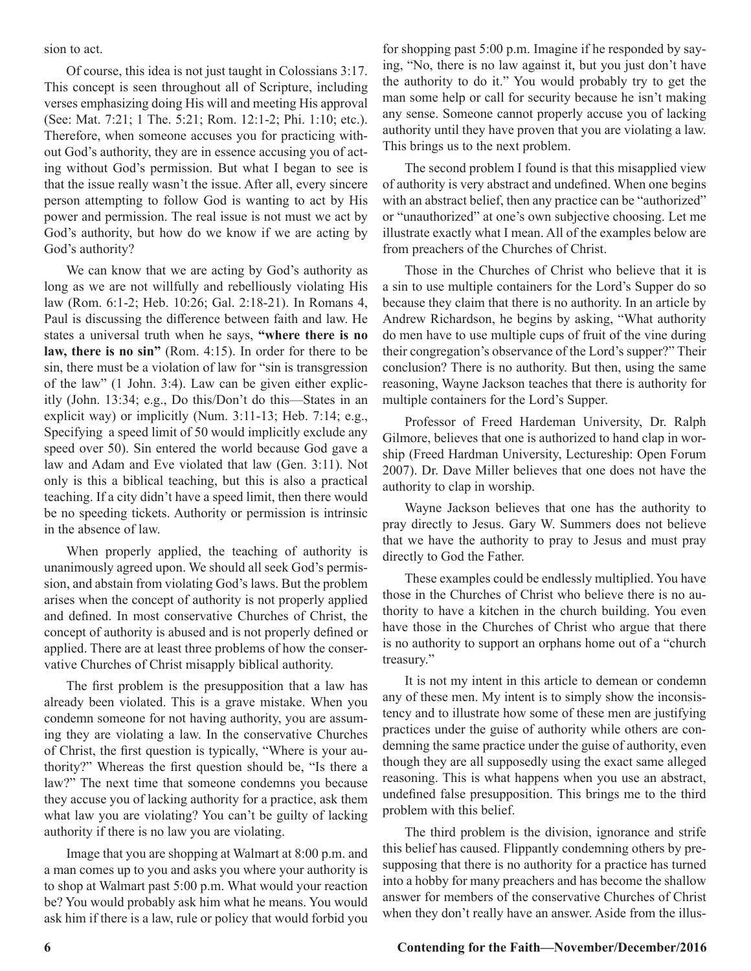sion to act.

Of course, this idea is not just taught in Colossians 3:17. This concept is seen throughout all of Scripture, including verses emphasizing doing His will and meeting His approval (See: Mat. 7:21; 1 The. 5:21; Rom. 12:1-2; Phi. 1:10; etc.). Therefore, when someone accuses you for practicing without God's authority, they are in essence accusing you of acting without God's permission. But what I began to see is that the issue really wasn't the issue. After all, every sincere person attempting to follow God is wanting to act by His power and permission. The real issue is not must we act by God's authority, but how do we know if we are acting by God's authority?

We can know that we are acting by God's authority as long as we are not willfully and rebelliously violating His law (Rom. 6:1-2; Heb. 10:26; Gal. 2:18-21). In Romans 4, Paul is discussing the difference between faith and law. He states a universal truth when he says, **"where there is no law, there is no sin"** (Rom. 4:15). In order for there to be sin, there must be a violation of law for "sin is transgression of the law" (1 John. 3:4). Law can be given either explicitly (John. 13:34; e.g., Do this/Don't do this—States in an explicit way) or implicitly (Num. 3:11-13; Heb. 7:14; e.g., Specifying a speed limit of 50 would implicitly exclude any speed over 50). Sin entered the world because God gave a law and Adam and Eve violated that law (Gen. 3:11). Not only is this a biblical teaching, but this is also a practical teaching. If a city didn't have a speed limit, then there would be no speeding tickets. Authority or permission is intrinsic in the absence of law.

When properly applied, the teaching of authority is unanimously agreed upon. We should all seek God's permission, and abstain from violating God's laws. But the problem arises when the concept of authority is not properly applied and defined. In most conservative Churches of Christ, the concept of authority is abused and is not properly defined or applied. There are at least three problems of how the conservative Churches of Christ misapply biblical authority.

The first problem is the presupposition that a law has already been violated. This is a grave mistake. When you condemn someone for not having authority, you are assuming they are violating a law. In the conservative Churches of Christ, the first question is typically, "Where is your authority?" Whereas the first question should be, "Is there a law?" The next time that someone condemns you because they accuse you of lacking authority for a practice, ask them what law you are violating? You can't be guilty of lacking authority if there is no law you are violating.

Image that you are shopping at Walmart at 8:00 p.m. and a man comes up to you and asks you where your authority is to shop at Walmart past 5:00 p.m. What would your reaction be? You would probably ask him what he means. You would ask him if there is a law, rule or policy that would forbid you for shopping past 5:00 p.m. Imagine if he responded by saying, "No, there is no law against it, but you just don't have the authority to do it." You would probably try to get the man some help or call for security because he isn't making any sense. Someone cannot properly accuse you of lacking authority until they have proven that you are violating a law. This brings us to the next problem.

The second problem I found is that this misapplied view of authority is very abstract and undefined. When one begins with an abstract belief, then any practice can be "authorized" or "unauthorized" at one's own subjective choosing. Let me illustrate exactly what I mean. All of the examples below are from preachers of the Churches of Christ.

Those in the Churches of Christ who believe that it is a sin to use multiple containers for the Lord's Supper do so because they claim that there is no authority. In an article by Andrew Richardson, he begins by asking, "What authority do men have to use multiple cups of fruit of the vine during their congregation's observance of the Lord's supper?" Their conclusion? There is no authority. But then, using the same reasoning, Wayne Jackson teaches that there is authority for multiple containers for the Lord's Supper.

Professor of Freed Hardeman University, Dr. Ralph Gilmore, believes that one is authorized to hand clap in worship (Freed Hardman University, Lectureship: Open Forum 2007). Dr. Dave Miller believes that one does not have the authority to clap in worship.

Wayne Jackson believes that one has the authority to pray directly to Jesus. Gary W. Summers does not believe that we have the authority to pray to Jesus and must pray directly to God the Father.

These examples could be endlessly multiplied. You have those in the Churches of Christ who believe there is no authority to have a kitchen in the church building. You even have those in the Churches of Christ who argue that there is no authority to support an orphans home out of a "church treasury."

It is not my intent in this article to demean or condemn any of these men. My intent is to simply show the inconsistency and to illustrate how some of these men are justifying practices under the guise of authority while others are condemning the same practice under the guise of authority, even though they are all supposedly using the exact same alleged reasoning. This is what happens when you use an abstract, undefined false presupposition. This brings me to the third problem with this belief.

The third problem is the division, ignorance and strife this belief has caused. Flippantly condemning others by presupposing that there is no authority for a practice has turned into a hobby for many preachers and has become the shallow answer for members of the conservative Churches of Christ when they don't really have an answer. Aside from the illus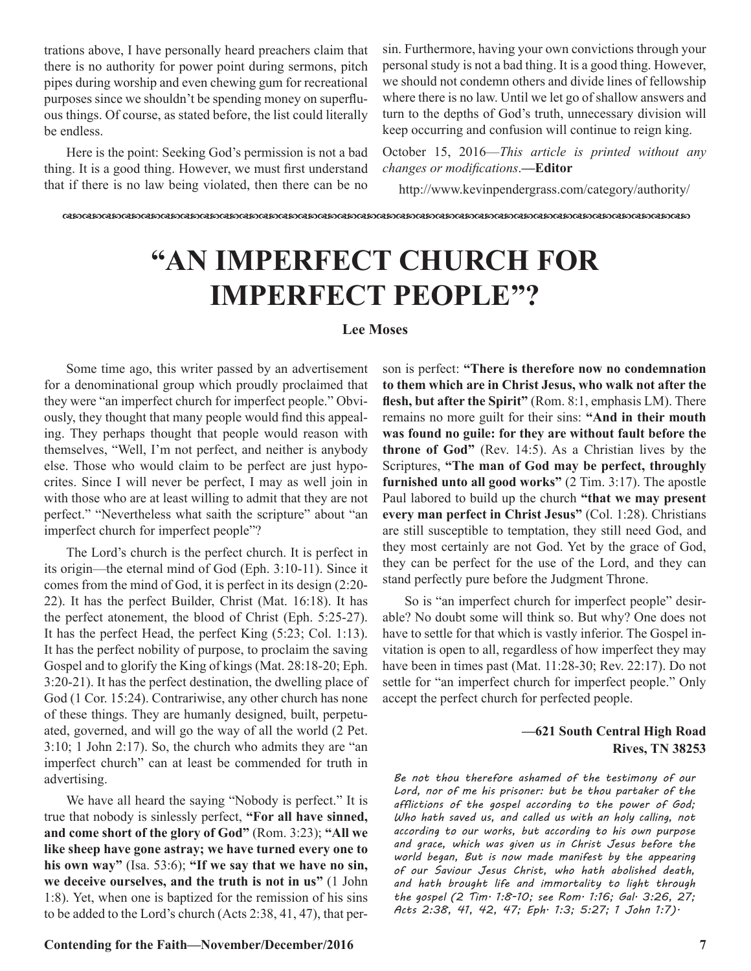trations above, I have personally heard preachers claim that there is no authority for power point during sermons, pitch pipes during worship and even chewing gum for recreational purposes since we shouldn't be spending money on superfluous things. Of course, as stated before, the list could literally be endless.

Here is the point: Seeking God's permission is not a bad thing. It is a good thing. However, we must first understand that if there is no law being violated, then there can be no

sin. Furthermore, having your own convictions through your personal study is not a bad thing. It is a good thing. However, we should not condemn others and divide lines of fellowship where there is no law. Until we let go of shallow answers and turn to the depths of God's truth, unnecessary division will keep occurring and confusion will continue to reign king.

October 15, 2016—*This article is printed without any changes or modifications*.**—Editor**

http://www.kevinpendergrass.com/category/authority/

dcdcdcdcdcdcdcdcdcdcdcdcdcdcdcdcdcdcdcdcdcdcdcdcdcdcdcdcdcdcdcdc

## **"AN IMPERFECT CHURCH FOR IMPERFECT PEOPLE"?**

#### **Lee Moses**

Some time ago, this writer passed by an advertisement for a denominational group which proudly proclaimed that they were "an imperfect church for imperfect people." Obviously, they thought that many people would find this appealing. They perhaps thought that people would reason with themselves, "Well, I'm not perfect, and neither is anybody else. Those who would claim to be perfect are just hypocrites. Since I will never be perfect, I may as well join in with those who are at least willing to admit that they are not perfect." "Nevertheless what saith the scripture" about "an imperfect church for imperfect people"?

The Lord's church is the perfect church. It is perfect in its origin—the eternal mind of God (Eph. 3:10-11). Since it comes from the mind of God, it is perfect in its design (2:20- 22). It has the perfect Builder, Christ (Mat. 16:18). It has the perfect atonement, the blood of Christ (Eph. 5:25-27). It has the perfect Head, the perfect King (5:23; Col. 1:13). It has the perfect nobility of purpose, to proclaim the saving Gospel and to glorify the King of kings (Mat. 28:18-20; Eph. 3:20-21). It has the perfect destination, the dwelling place of God (1 Cor. 15:24). Contrariwise, any other church has none of these things. They are humanly designed, built, perpetuated, governed, and will go the way of all the world (2 Pet. 3:10; 1 John 2:17). So, the church who admits they are "an imperfect church" can at least be commended for truth in advertising.

We have all heard the saying "Nobody is perfect." It is true that nobody is sinlessly perfect, **"For all have sinned, and come short of the glory of God"** (Rom. 3:23); **"All we like sheep have gone astray; we have turned every one to his own way"** (Isa. 53:6); **"If we say that we have no sin, we deceive ourselves, and the truth is not in us"** (1 John 1:8). Yet, when one is baptized for the remission of his sins to be added to the Lord's church (Acts 2:38, 41, 47), that person is perfect: **"There is therefore now no condemnation to them which are in Christ Jesus, who walk not after the flesh, but after the Spirit"** (Rom. 8:1, emphasis LM). There remains no more guilt for their sins: **"And in their mouth was found no guile: for they are without fault before the throne of God"** (Rev. 14:5). As a Christian lives by the Scriptures, **"The man of God may be perfect, throughly furnished unto all good works"** (2 Tim. 3:17). The apostle Paul labored to build up the church **"that we may present every man perfect in Christ Jesus"** (Col. 1:28). Christians are still susceptible to temptation, they still need God, and they most certainly are not God. Yet by the grace of God, they can be perfect for the use of the Lord, and they can stand perfectly pure before the Judgment Throne.

So is "an imperfect church for imperfect people" desirable? No doubt some will think so. But why? One does not have to settle for that which is vastly inferior. The Gospel invitation is open to all, regardless of how imperfect they may have been in times past (Mat. 11:28-30; Rev. 22:17). Do not settle for "an imperfect church for imperfect people." Only accept the perfect church for perfected people.

#### **—621 South Central High Road Rives, TN 38253**

*Be not thou therefore ashamed of the testimony of our Lord, nor of me his prisoner: but be thou partaker of the afflictions of the gospel according to the power of God; Who hath saved us, and called us with an holy calling, not according to our works, but according to his own purpose and grace, which was given us in Christ Jesus before the world began, But is now made manifest by the appearing of our Saviour Jesus Christ, who hath abolished death, and hath brought life and immortality to light through the gospel (2 Tim. 1:8-10; see Rom. 1:16; Gal. 3:26, 27; Acts 2:38, 41, 42, 47; Eph. 1:3; 5:27; 1 John 1:7).*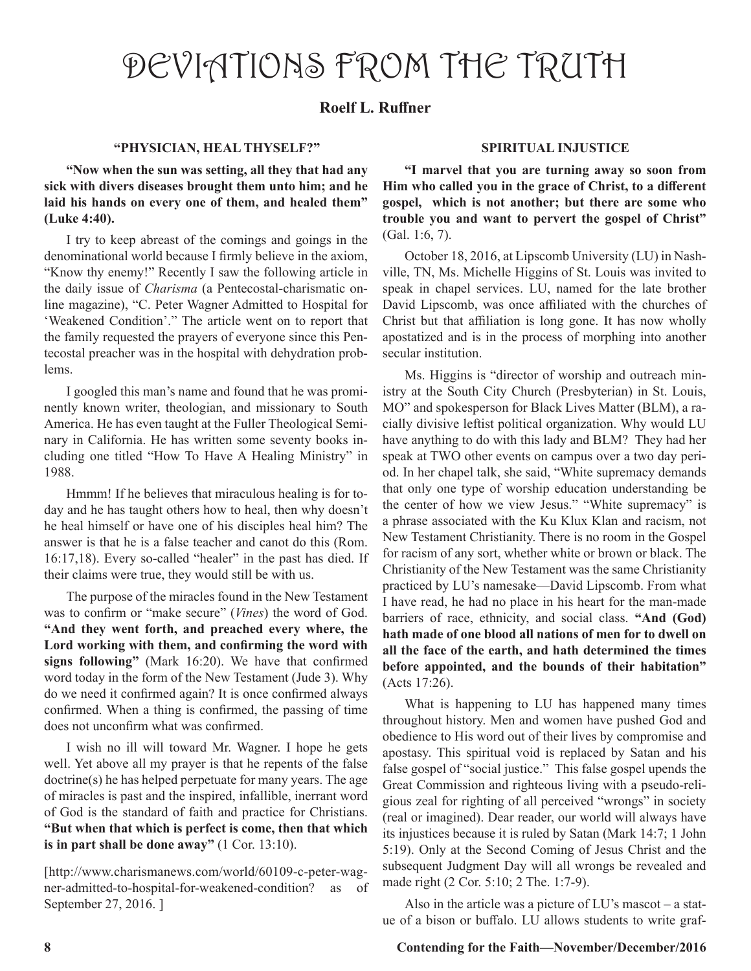## DEVIATIONS FROM THE TRUTH

### **Roelf L. Ruffner**

#### **"PHYSICIAN, HEAL THYSELF?"**

**"Now when the sun was setting, all they that had any sick with divers diseases brought them unto him; and he laid his hands on every one of them, and healed them" (Luke 4:40).**

I try to keep abreast of the comings and goings in the denominational world because I firmly believe in the axiom, "Know thy enemy!" Recently I saw the following article in the daily issue of *Charisma* (a Pentecostal-charismatic online magazine), "C. Peter Wagner Admitted to Hospital for 'Weakened Condition'." The article went on to report that the family requested the prayers of everyone since this Pentecostal preacher was in the hospital with dehydration problems.

I googled this man's name and found that he was prominently known writer, theologian, and missionary to South America. He has even taught at the Fuller Theological Seminary in California. He has written some seventy books including one titled "How To Have A Healing Ministry" in 1988.

Hmmm! If he believes that miraculous healing is for today and he has taught others how to heal, then why doesn't he heal himself or have one of his disciples heal him? The answer is that he is a false teacher and canot do this (Rom. 16:17,18). Every so-called "healer" in the past has died. If their claims were true, they would still be with us.

The purpose of the miracles found in the New Testament was to confirm or "make secure" (*Vines*) the word of God. **"And they went forth, and preached every where, the Lord working with them, and confirming the word with signs following"** (Mark 16:20). We have that confirmed word today in the form of the New Testament (Jude 3). Why do we need it confirmed again? It is once confirmed always confirmed. When a thing is confirmed, the passing of time does not unconfirm what was confirmed.

I wish no ill will toward Mr. Wagner. I hope he gets well. Yet above all my prayer is that he repents of the false doctrine(s) he has helped perpetuate for many years. The age of miracles is past and the inspired, infallible, inerrant word of God is the standard of faith and practice for Christians. **"But when that which is perfect is come, then that which is in part shall be done away"** (1 Cor. 13:10).

[http://www.charismanews.com/world/60109-c-peter-wagner-admitted-to-hospital-for-weakened-condition? as of September 27, 2016. ]

#### **SPIRITUAL INJUSTICE**

**"I marvel that you are turning away so soon from Him who called you in the grace of Christ, to a different gospel, which is not another; but there are some who trouble you and want to pervert the gospel of Christ"** (Gal. 1:6, 7).

October 18, 2016, at Lipscomb University (LU) in Nashville, TN, Ms. Michelle Higgins of St. Louis was invited to speak in chapel services. LU, named for the late brother David Lipscomb, was once affiliated with the churches of Christ but that affiliation is long gone. It has now wholly apostatized and is in the process of morphing into another secular institution.

Ms. Higgins is "director of worship and outreach ministry at the South City Church (Presbyterian) in St. Louis, MO" and spokesperson for Black Lives Matter (BLM), a racially divisive leftist political organization. Why would LU have anything to do with this lady and BLM? They had her speak at TWO other events on campus over a two day period. In her chapel talk, she said, "White supremacy demands that only one type of worship education understanding be the center of how we view Jesus." "White supremacy" is a phrase associated with the Ku Klux Klan and racism, not New Testament Christianity. There is no room in the Gospel for racism of any sort, whether white or brown or black. The Christianity of the New Testament was the same Christianity practiced by LU's namesake—David Lipscomb. From what I have read, he had no place in his heart for the man-made barriers of race, ethnicity, and social class. **"And (God) hath made of one blood all nations of men for to dwell on all the face of the earth, and hath determined the times before appointed, and the bounds of their habitation"** (Acts 17:26).

What is happening to LU has happened many times throughout history. Men and women have pushed God and obedience to His word out of their lives by compromise and apostasy. This spiritual void is replaced by Satan and his false gospel of "social justice." This false gospel upends the Great Commission and righteous living with a pseudo-religious zeal for righting of all perceived "wrongs" in society (real or imagined). Dear reader, our world will always have its injustices because it is ruled by Satan (Mark 14:7; 1 John 5:19). Only at the Second Coming of Jesus Christ and the subsequent Judgment Day will all wrongs be revealed and made right (2 Cor. 5:10; 2 The. 1:7-9).

Also in the article was a picture of LU's mascot – a statue of a bison or buffalo. LU allows students to write graf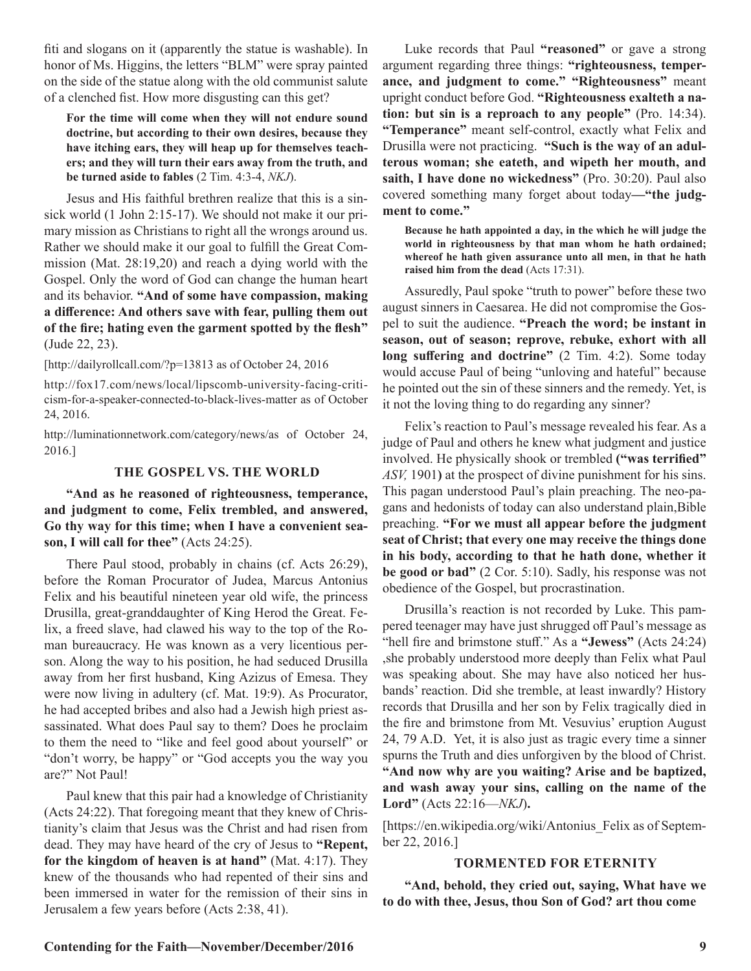fiti and slogans on it (apparently the statue is washable). In honor of Ms. Higgins, the letters "BLM" were spray painted on the side of the statue along with the old communist salute of a clenched fist. How more disgusting can this get?

**For the time will come when they will not endure sound doctrine, but according to their own desires, because they have itching ears, they will heap up for themselves teachers; and they will turn their ears away from the truth, and be turned aside to fables** (2 Tim. 4:3-4, *NKJ*).

Jesus and His faithful brethren realize that this is a sinsick world (1 John 2:15-17). We should not make it our primary mission as Christians to right all the wrongs around us. Rather we should make it our goal to fulfill the Great Commission (Mat. 28:19,20) and reach a dying world with the Gospel. Only the word of God can change the human heart and its behavior. **"And of some have compassion, making a difference: And others save with fear, pulling them out of the fire; hating even the garment spotted by the flesh"**  (Jude 22, 23).

[http://dailyrollcall.com/?p=13813 as of October 24, 2016

http://fox17.com/news/local/lipscomb-university-facing-criticism-for-a-speaker-connected-to-black-lives-matter as of October 24, 2016.

http://luminationnetwork.com/category/news/as of October 24, 2016.]

#### **THE GOSPEL VS. THE WORLD**

**"And as he reasoned of righteousness, temperance, and judgment to come, Felix trembled, and answered, Go thy way for this time; when I have a convenient season, I will call for thee"** (Acts 24:25).

There Paul stood, probably in chains (cf. Acts 26:29), before the Roman Procurator of Judea, Marcus Antonius Felix and his beautiful nineteen year old wife, the princess Drusilla, great-granddaughter of King Herod the Great. Felix, a freed slave, had clawed his way to the top of the Roman bureaucracy. He was known as a very licentious person. Along the way to his position, he had seduced Drusilla away from her first husband, King Azizus of Emesa. They were now living in adultery (cf. Mat. 19:9). As Procurator, he had accepted bribes and also had a Jewish high priest assassinated. What does Paul say to them? Does he proclaim to them the need to "like and feel good about yourself" or "don't worry, be happy" or "God accepts you the way you are?" Not Paul!

Paul knew that this pair had a knowledge of Christianity (Acts 24:22). That foregoing meant that they knew of Christianity's claim that Jesus was the Christ and had risen from dead. They may have heard of the cry of Jesus to **"Repent, for the kingdom of heaven is at hand"** (Mat. 4:17). They knew of the thousands who had repented of their sins and been immersed in water for the remission of their sins in Jerusalem a few years before (Acts 2:38, 41).

Luke records that Paul **"reasoned"** or gave a strong argument regarding three things: **"righteousness, temperance, and judgment to come." "Righteousness"** meant upright conduct before God. **"Righteousness exalteth a nation: but sin is a reproach to any people"** (Pro. 14:34). **"Temperance"** meant self-control, exactly what Felix and Drusilla were not practicing. **"Such is the way of an adulterous woman; she eateth, and wipeth her mouth, and saith, I have done no wickedness"** (Pro. 30:20). Paul also covered something many forget about today**—"the judgment to come."**

**Because he hath appointed a day, in the which he will judge the world in righteousness by that man whom he hath ordained; whereof he hath given assurance unto all men, in that he hath raised him from the dead** (Acts 17:31).

Assuredly, Paul spoke "truth to power" before these two august sinners in Caesarea. He did not compromise the Gospel to suit the audience. **"Preach the word; be instant in season, out of season; reprove, rebuke, exhort with all long suffering and doctrine"** (2 Tim. 4:2). Some today would accuse Paul of being "unloving and hateful" because he pointed out the sin of these sinners and the remedy. Yet, is it not the loving thing to do regarding any sinner?

Felix's reaction to Paul's message revealed his fear. As a judge of Paul and others he knew what judgment and justice involved. He physically shook or trembled **("was terrified"** *ASV,* 1901**)** at the prospect of divine punishment for his sins. This pagan understood Paul's plain preaching. The neo-pagans and hedonists of today can also understand plain,Bible preaching. **"For we must all appear before the judgment seat of Christ; that every one may receive the things done in his body, according to that he hath done, whether it be good or bad"** (2 Cor. 5:10). Sadly, his response was not obedience of the Gospel, but procrastination.

Drusilla's reaction is not recorded by Luke. This pampered teenager may have just shrugged off Paul's message as "hell fire and brimstone stuff." As a **"Jewess"** (Acts 24:24) ,she probably understood more deeply than Felix what Paul was speaking about. She may have also noticed her husbands' reaction. Did she tremble, at least inwardly? History records that Drusilla and her son by Felix tragically died in the fire and brimstone from Mt. Vesuvius' eruption August 24, 79 A.D. Yet, it is also just as tragic every time a sinner spurns the Truth and dies unforgiven by the blood of Christ. **"And now why are you waiting? Arise and be baptized, and wash away your sins, calling on the name of the Lord"** (Acts 22:16—*NKJ*)**.**

[https://en.wikipedia.org/wiki/Antonius\_Felix as of September 22, 2016.]

#### **TORMENTED FOR ETERNITY**

**"And, behold, they cried out, saying, What have we to do with thee, Jesus, thou Son of God? art thou come**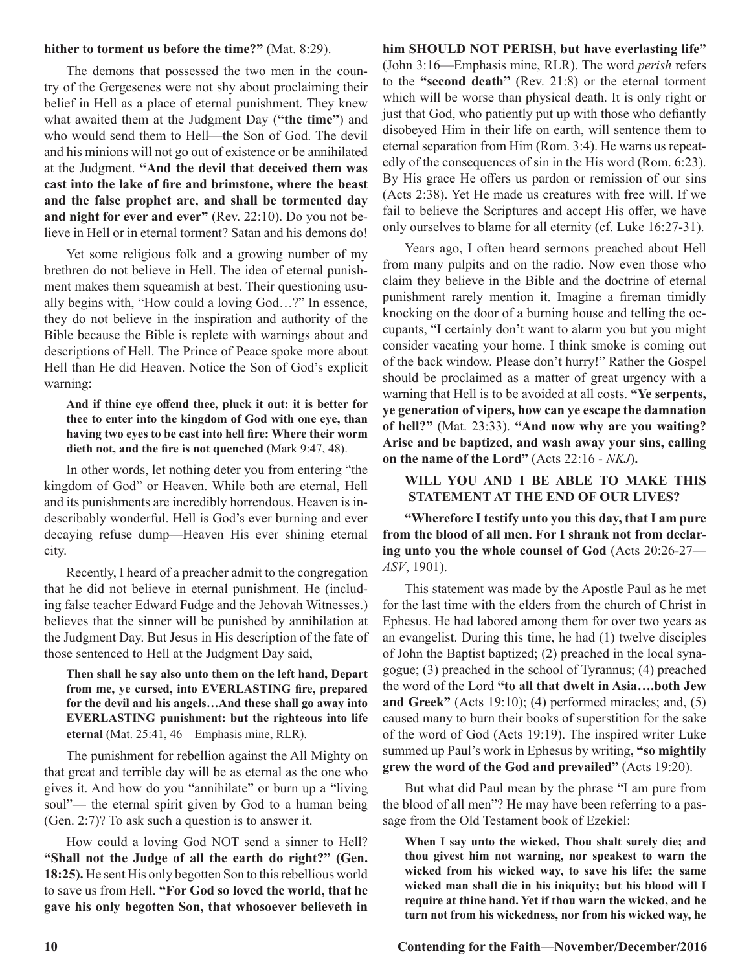#### **hither to torment us before the time?"** (Mat. 8:29).

The demons that possessed the two men in the country of the Gergesenes were not shy about proclaiming their belief in Hell as a place of eternal punishment. They knew what awaited them at the Judgment Day (**"the time"**) and who would send them to Hell—the Son of God. The devil and his minions will not go out of existence or be annihilated at the Judgment. **"And the devil that deceived them was cast into the lake of fire and brimstone, where the beast and the false prophet are, and shall be tormented day and night for ever and ever"** (Rev. 22:10). Do you not believe in Hell or in eternal torment? Satan and his demons do!

Yet some religious folk and a growing number of my brethren do not believe in Hell. The idea of eternal punishment makes them squeamish at best. Their questioning usually begins with, "How could a loving God…?" In essence, they do not believe in the inspiration and authority of the Bible because the Bible is replete with warnings about and descriptions of Hell. The Prince of Peace spoke more about Hell than He did Heaven. Notice the Son of God's explicit warning:

#### **And if thine eye offend thee, pluck it out: it is better for thee to enter into the kingdom of God with one eye, than having two eyes to be cast into hell fire: Where their worm dieth not, and the fire is not quenched** (Mark 9:47, 48).

In other words, let nothing deter you from entering "the kingdom of God" or Heaven. While both are eternal, Hell and its punishments are incredibly horrendous. Heaven is indescribably wonderful. Hell is God's ever burning and ever decaying refuse dump—Heaven His ever shining eternal city.

Recently, I heard of a preacher admit to the congregation that he did not believe in eternal punishment. He (including false teacher Edward Fudge and the Jehovah Witnesses.) believes that the sinner will be punished by annihilation at the Judgment Day. But Jesus in His description of the fate of those sentenced to Hell at the Judgment Day said,

#### **Then shall he say also unto them on the left hand, Depart from me, ye cursed, into EVERLASTING fire, prepared for the devil and his angels…And these shall go away into EVERLASTING punishment: but the righteous into life eternal** (Mat. 25:41, 46—Emphasis mine, RLR).

The punishment for rebellion against the All Mighty on that great and terrible day will be as eternal as the one who gives it. And how do you "annihilate" or burn up a "living soul"— the eternal spirit given by God to a human being (Gen. 2:7)? To ask such a question is to answer it.

How could a loving God NOT send a sinner to Hell? **"Shall not the Judge of all the earth do right?" (Gen. 18:25).** He sent His only begotten Son to this rebellious world to save us from Hell. **"For God so loved the world, that he gave his only begotten Son, that whosoever believeth in** 

### **him SHOULD NOT PERISH, but have everlasting life"**

(John 3:16—Emphasis mine, RLR). The word *perish* refers to the **"second death"** (Rev. 21:8) or the eternal torment which will be worse than physical death. It is only right or just that God, who patiently put up with those who defiantly disobeyed Him in their life on earth, will sentence them to eternal separation from Him (Rom. 3:4). He warns us repeatedly of the consequences of sin in the His word (Rom. 6:23). By His grace He offers us pardon or remission of our sins (Acts 2:38). Yet He made us creatures with free will. If we fail to believe the Scriptures and accept His offer, we have only ourselves to blame for all eternity (cf. Luke 16:27-31).

Years ago, I often heard sermons preached about Hell from many pulpits and on the radio. Now even those who claim they believe in the Bible and the doctrine of eternal punishment rarely mention it. Imagine a fireman timidly knocking on the door of a burning house and telling the occupants, "I certainly don't want to alarm you but you might consider vacating your home. I think smoke is coming out of the back window. Please don't hurry!" Rather the Gospel should be proclaimed as a matter of great urgency with a warning that Hell is to be avoided at all costs. **"Ye serpents, ye generation of vipers, how can ye escape the damnation of hell?"** (Mat. 23:33). **"And now why are you waiting? Arise and be baptized, and wash away your sins, calling on the name of the Lord"** (Acts 22:16 - *NKJ*)**.** 

#### **WILL YOU AND I BE ABLE TO MAKE THIS STATEMENT AT THE END OF OUR LIVES?**

**"Wherefore I testify unto you this day, that I am pure from the blood of all men. For I shrank not from declaring unto you the whole counsel of God** (Acts 20:26-27— *ASV*, 1901).

This statement was made by the Apostle Paul as he met for the last time with the elders from the church of Christ in Ephesus. He had labored among them for over two years as an evangelist. During this time, he had (1) twelve disciples of John the Baptist baptized; (2) preached in the local synagogue; (3) preached in the school of Tyrannus; (4) preached the word of the Lord **"to all that dwelt in Asia….both Jew and Greek"** (Acts 19:10); (4) performed miracles; and, (5) caused many to burn their books of superstition for the sake of the word of God (Acts 19:19). The inspired writer Luke summed up Paul's work in Ephesus by writing, **"so mightily grew the word of the God and prevailed"** (Acts 19:20).

But what did Paul mean by the phrase "I am pure from the blood of all men"? He may have been referring to a passage from the Old Testament book of Ezekiel:

**When I say unto the wicked, Thou shalt surely die; and thou givest him not warning, nor speakest to warn the wicked from his wicked way, to save his life; the same wicked man shall die in his iniquity; but his blood will I require at thine hand. Yet if thou warn the wicked, and he turn not from his wickedness, nor from his wicked way, he**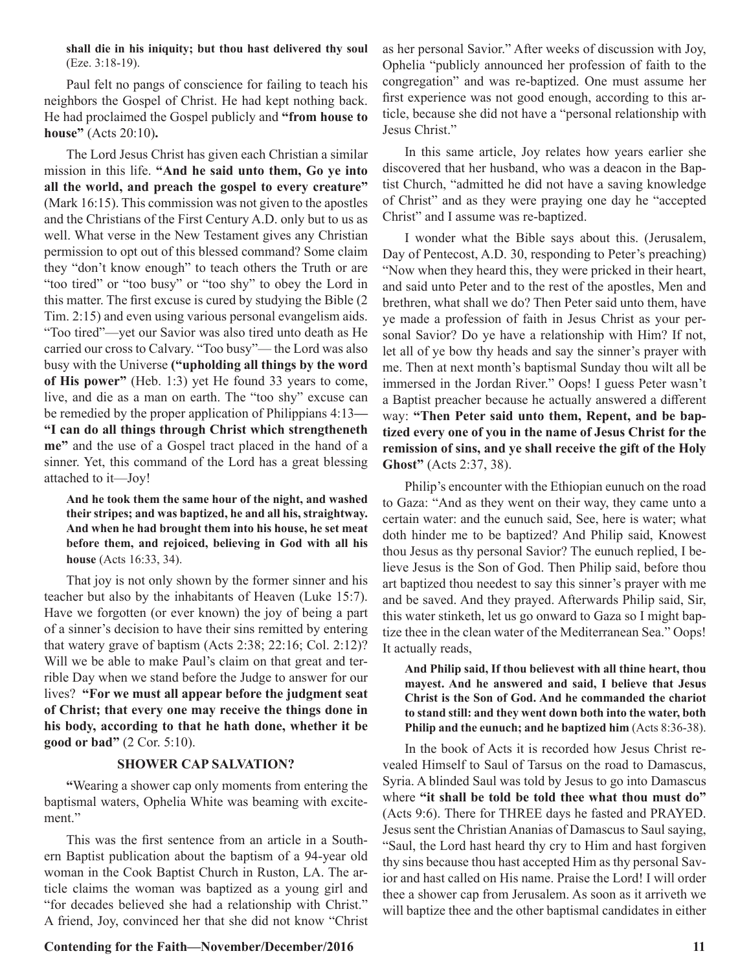**shall die in his iniquity; but thou hast delivered thy soul**  (Eze. 3:18-19).

Paul felt no pangs of conscience for failing to teach his neighbors the Gospel of Christ. He had kept nothing back. He had proclaimed the Gospel publicly and **"from house to house"** (Acts 20:10)**.** 

The Lord Jesus Christ has given each Christian a similar mission in this life. **"And he said unto them, Go ye into all the world, and preach the gospel to every creature"**  (Mark 16:15). This commission was not given to the apostles and the Christians of the First Century A.D. only but to us as well. What verse in the New Testament gives any Christian permission to opt out of this blessed command? Some claim they "don't know enough" to teach others the Truth or are "too tired" or "too busy" or "too shy" to obey the Lord in this matter. The first excuse is cured by studying the Bible (2 Tim. 2:15) and even using various personal evangelism aids. "Too tired"—yet our Savior was also tired unto death as He carried our cross to Calvary. "Too busy"— the Lord was also busy with the Universe **("upholding all things by the word of His power"** (Heb. 1:3) yet He found 33 years to come, live, and die as a man on earth. The "too shy" excuse can be remedied by the proper application of Philippians 4:13**— "I can do all things through Christ which strengtheneth me"** and the use of a Gospel tract placed in the hand of a sinner. Yet, this command of the Lord has a great blessing attached to it—Joy!

**And he took them the same hour of the night, and washed their stripes; and was baptized, he and all his, straightway. And when he had brought them into his house, he set meat before them, and rejoiced, believing in God with all his house** (Acts 16:33, 34).

That joy is not only shown by the former sinner and his teacher but also by the inhabitants of Heaven (Luke 15:7). Have we forgotten (or ever known) the joy of being a part of a sinner's decision to have their sins remitted by entering that watery grave of baptism (Acts 2:38; 22:16; Col. 2:12)? Will we be able to make Paul's claim on that great and terrible Day when we stand before the Judge to answer for our lives? **"For we must all appear before the judgment seat of Christ; that every one may receive the things done in his body, according to that he hath done, whether it be good or bad"** (2 Cor. 5:10).

#### **SHOWER CAP SALVATION?**

**"**Wearing a shower cap only moments from entering the baptismal waters, Ophelia White was beaming with excitement."

This was the first sentence from an article in a Southern Baptist publication about the baptism of a 94-year old woman in the Cook Baptist Church in Ruston, LA. The article claims the woman was baptized as a young girl and "for decades believed she had a relationship with Christ." A friend, Joy, convinced her that she did not know "Christ

#### Contending for the Faith—November/December/2016 11

as her personal Savior." After weeks of discussion with Joy, Ophelia "publicly announced her profession of faith to the congregation" and was re-baptized. One must assume her first experience was not good enough, according to this article, because she did not have a "personal relationship with Jesus Christ."

In this same article, Joy relates how years earlier she discovered that her husband, who was a deacon in the Baptist Church, "admitted he did not have a saving knowledge of Christ" and as they were praying one day he "accepted Christ" and I assume was re-baptized.

I wonder what the Bible says about this. (Jerusalem, Day of Pentecost, A.D. 30, responding to Peter's preaching) "Now when they heard this, they were pricked in their heart, and said unto Peter and to the rest of the apostles, Men and brethren, what shall we do? Then Peter said unto them, have ye made a profession of faith in Jesus Christ as your personal Savior? Do ye have a relationship with Him? If not, let all of ye bow thy heads and say the sinner's prayer with me. Then at next month's baptismal Sunday thou wilt all be immersed in the Jordan River." Oops! I guess Peter wasn't a Baptist preacher because he actually answered a different way: **"Then Peter said unto them, Repent, and be baptized every one of you in the name of Jesus Christ for the remission of sins, and ye shall receive the gift of the Holy Ghost"** (Acts 2:37, 38).

Philip's encounter with the Ethiopian eunuch on the road to Gaza: "And as they went on their way, they came unto a certain water: and the eunuch said, See, here is water; what doth hinder me to be baptized? And Philip said, Knowest thou Jesus as thy personal Savior? The eunuch replied, I believe Jesus is the Son of God. Then Philip said, before thou art baptized thou needest to say this sinner's prayer with me and be saved. And they prayed. Afterwards Philip said, Sir, this water stinketh, let us go onward to Gaza so I might baptize thee in the clean water of the Mediterranean Sea." Oops! It actually reads,

#### **And Philip said, If thou believest with all thine heart, thou mayest. And he answered and said, I believe that Jesus Christ is the Son of God. And he commanded the chariot to stand still: and they went down both into the water, both Philip and the eunuch; and he baptized him** (Acts 8:36-38).

In the book of Acts it is recorded how Jesus Christ revealed Himself to Saul of Tarsus on the road to Damascus, Syria. A blinded Saul was told by Jesus to go into Damascus where **"it shall be told be told thee what thou must do"** (Acts 9:6). There for THREE days he fasted and PRAYED. Jesus sent the Christian Ananias of Damascus to Saul saying, "Saul, the Lord hast heard thy cry to Him and hast forgiven thy sins because thou hast accepted Him as thy personal Savior and hast called on His name. Praise the Lord! I will order thee a shower cap from Jerusalem. As soon as it arriveth we will baptize thee and the other baptismal candidates in either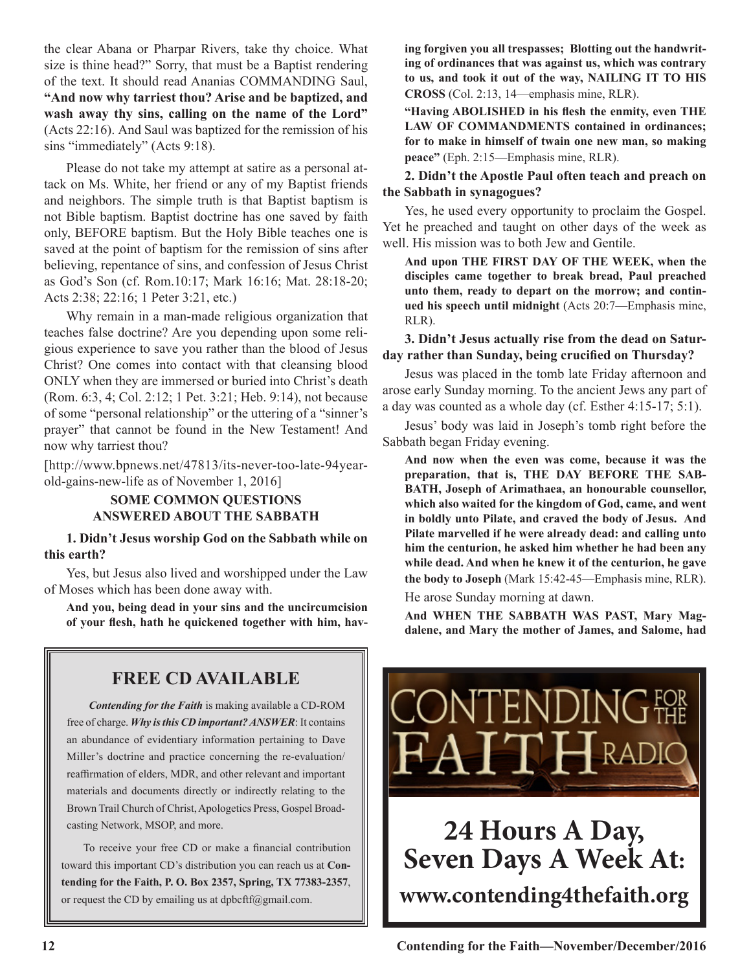the clear Abana or Pharpar Rivers, take thy choice. What size is thine head?" Sorry, that must be a Baptist rendering of the text. It should read Ananias COMMANDING Saul, **"And now why tarriest thou? Arise and be baptized, and wash away thy sins, calling on the name of the Lord"**  (Acts 22:16). And Saul was baptized for the remission of his sins "immediately" (Acts 9:18).

Please do not take my attempt at satire as a personal attack on Ms. White, her friend or any of my Baptist friends and neighbors. The simple truth is that Baptist baptism is not Bible baptism. Baptist doctrine has one saved by faith only, BEFORE baptism. But the Holy Bible teaches one is saved at the point of baptism for the remission of sins after believing, repentance of sins, and confession of Jesus Christ as God's Son (cf. Rom.10:17; Mark 16:16; Mat. 28:18-20; Acts 2:38; 22:16; 1 Peter 3:21, etc.)

Why remain in a man-made religious organization that teaches false doctrine? Are you depending upon some religious experience to save you rather than the blood of Jesus Christ? One comes into contact with that cleansing blood ONLY when they are immersed or buried into Christ's death (Rom. 6:3, 4; Col. 2:12; 1 Pet. 3:21; Heb. 9:14), not because of some "personal relationship" or the uttering of a "sinner's prayer" that cannot be found in the New Testament! And now why tarriest thou?

[http://www.bpnews.net/47813/its-never-too-late-94yearold-gains-new-life as of November 1, 2016]

#### **SOME COMMON QUESTIONS ANSWERED ABOUT THE SABBATH**

#### **1. Didn't Jesus worship God on the Sabbath while on this earth?**

Yes, but Jesus also lived and worshipped under the Law of Moses which has been done away with.

**And you, being dead in your sins and the uncircumcision of your flesh, hath he quickened together with him, hav-**

## **FREE CD AVAILABLE**

*Contending for the Faith* is making available a CD-ROM free of charge. *Why is this CD important? ANSWER*: It contains an abundance of evidentiary information pertaining to Dave Miller's doctrine and practice concerning the re-evaluation/ reaffirmation of elders, MDR, and other relevant and important materials and documents directly or indirectly relating to the Brown Trail Church of Christ, Apologetics Press, Gospel Broadcasting Network, MSOP, and more.

To receive your free CD or make a financial contribution toward this important CD's distribution you can reach us at **Contending for the Faith, P. O. Box 2357, Spring, TX 77383-2357**, or request the CD by emailing us at dpbcftf $@g$ gmail.com.

**ing forgiven you all trespasses; Blotting out the handwriting of ordinances that was against us, which was contrary to us, and took it out of the way, NAILING IT TO HIS CROSS** (Col. 2:13, 14—emphasis mine, RLR).

**"Having ABOLISHED in his flesh the enmity, even THE LAW OF COMMANDMENTS contained in ordinances; for to make in himself of twain one new man, so making peace"** (Eph. 2:15—Emphasis mine, RLR).

**2. Didn't the Apostle Paul often teach and preach on the Sabbath in synagogues?**

Yes, he used every opportunity to proclaim the Gospel. Yet he preached and taught on other days of the week as well. His mission was to both Jew and Gentile.

**And upon THE FIRST DAY OF THE WEEK, when the disciples came together to break bread, Paul preached unto them, ready to depart on the morrow; and continued his speech until midnight** (Acts 20:7—Emphasis mine, RLR).

**3. Didn't Jesus actually rise from the dead on Saturday rather than Sunday, being crucified on Thursday?**

Jesus was placed in the tomb late Friday afternoon and arose early Sunday morning. To the ancient Jews any part of a day was counted as a whole day (cf. Esther 4:15-17; 5:1).

Jesus' body was laid in Joseph's tomb right before the Sabbath began Friday evening.

**And now when the even was come, because it was the preparation, that is, THE DAY BEFORE THE SAB-BATH, Joseph of Arimathaea, an honourable counsellor, which also waited for the kingdom of God, came, and went in boldly unto Pilate, and craved the body of Jesus. And Pilate marvelled if he were already dead: and calling unto him the centurion, he asked him whether he had been any while dead. And when he knew it of the centurion, he gave the body to Joseph** (Mark 15:42-45—Emphasis mine, RLR).

He arose Sunday morning at dawn.

**And WHEN THE SABBATH WAS PAST, Mary Magdalene, and Mary the mother of James, and Salome, had** 

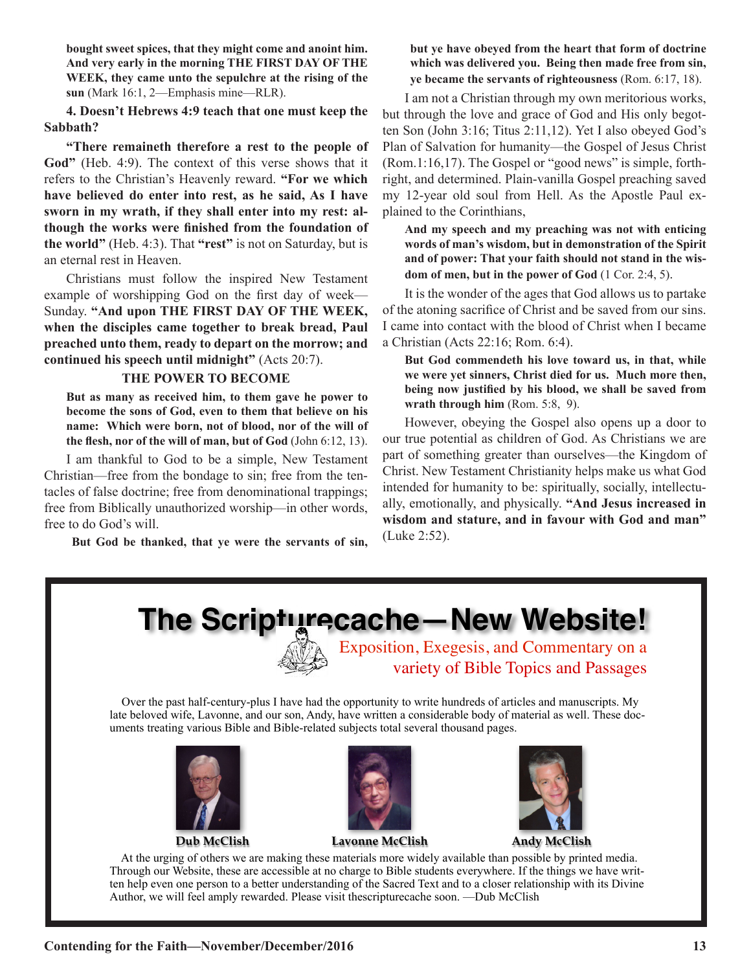**bought sweet spices, that they might come and anoint him. And very early in the morning THE FIRST DAY OF THE WEEK, they came unto the sepulchre at the rising of the sun** (Mark 16:1, 2—Emphasis mine—RLR).

**4. Doesn't Hebrews 4:9 teach that one must keep the Sabbath?**

**"There remaineth therefore a rest to the people of God"** (Heb. 4:9). The context of this verse shows that it refers to the Christian's Heavenly reward. **"For we which have believed do enter into rest, as he said, As I have sworn in my wrath, if they shall enter into my rest: although the works were finished from the foundation of the world"** (Heb. 4:3). That **"rest"** is not on Saturday, but is an eternal rest in Heaven.

Christians must follow the inspired New Testament example of worshipping God on the first day of week— Sunday. **"And upon THE FIRST DAY OF THE WEEK, when the disciples came together to break bread, Paul preached unto them, ready to depart on the morrow; and continued his speech until midnight"** (Acts 20:7).

#### **THE POWER TO BECOME**

**But as many as received him, to them gave he power to become the sons of God, even to them that believe on his name: Which were born, not of blood, nor of the will of the flesh, nor of the will of man, but of God** (John 6:12, 13).

I am thankful to God to be a simple, New Testament Christian—free from the bondage to sin; free from the tentacles of false doctrine; free from denominational trappings; free from Biblically unauthorized worship—in other words, free to do God's will.

**But God be thanked, that ye were the servants of sin,** 

#### **but ye have obeyed from the heart that form of doctrine which was delivered you. Being then made free from sin, ye became the servants of righteousness** (Rom. 6:17, 18).

I am not a Christian through my own meritorious works, but through the love and grace of God and His only begotten Son (John 3:16; Titus 2:11,12). Yet I also obeyed God's Plan of Salvation for humanity—the Gospel of Jesus Christ (Rom.1:16,17). The Gospel or "good news" is simple, forthright, and determined. Plain-vanilla Gospel preaching saved my 12-year old soul from Hell. As the Apostle Paul explained to the Corinthians,

**And my speech and my preaching was not with enticing words of man's wisdom, but in demonstration of the Spirit and of power: That your faith should not stand in the wisdom of men, but in the power of God** (1 Cor. 2:4, 5).

It is the wonder of the ages that God allows us to partake of the atoning sacrifice of Christ and be saved from our sins. I came into contact with the blood of Christ when I became a Christian (Acts 22:16; Rom. 6:4).

**But God commendeth his love toward us, in that, while we were yet sinners, Christ died for us. Much more then, being now justified by his blood, we shall be saved from wrath through him** (Rom. 5:8, 9).

However, obeying the Gospel also opens up a door to our true potential as children of God. As Christians we are part of something greater than ourselves—the Kingdom of Christ. New Testament Christianity helps make us what God intended for humanity to be: spiritually, socially, intellectually, emotionally, and physically. **"And Jesus increased in wisdom and stature, and in favour with God and man"**  (Luke 2:52).

## **The Scripture cache — New Website!**



Exposition, Exegesis, and Commentary on a variety of Bible Topics and Passages

 Over the past half-century-plus I have had the opportunity to write hundreds of articles and manuscripts. My late beloved wife, Lavonne, and our son, Andy, have written a considerable body of material as well. These documents treating various Bible and Bible-related subjects total several thousand pages.





**Dub McClish Lavonne McClish Andy McClish**



 At the urging of others we are making these materials more widely available than possible by printed media. Through our Website, these are accessible at no charge to Bible students everywhere. If the things we have written help even one person to a better understanding of the Sacred Text and to a closer relationship with its Divine Author, we will feel amply rewarded. Please visit thescripturecache soon. —Dub McClish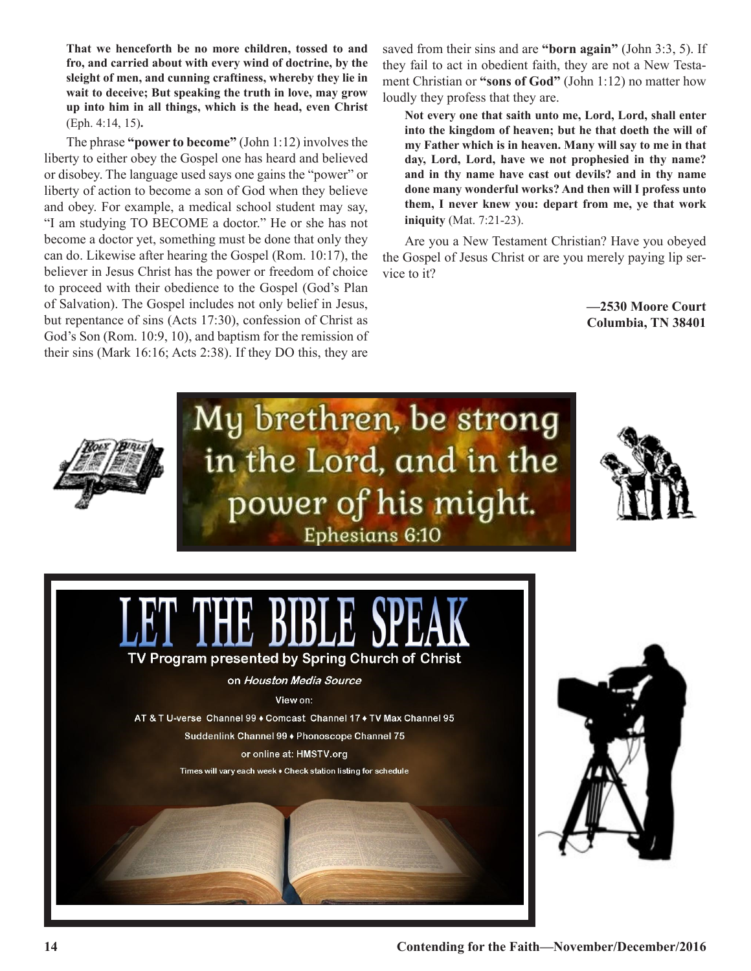**That we henceforth be no more children, tossed to and fro, and carried about with every wind of doctrine, by the sleight of men, and cunning craftiness, whereby they lie in wait to deceive; But speaking the truth in love, may grow up into him in all things, which is the head, even Christ** (Eph. 4:14, 15)**.**

The phrase **"power to become"** (John 1:12) involves the liberty to either obey the Gospel one has heard and believed or disobey. The language used says one gains the "power" or liberty of action to become a son of God when they believe and obey. For example, a medical school student may say, "I am studying TO BECOME a doctor." He or she has not become a doctor yet, something must be done that only they can do. Likewise after hearing the Gospel (Rom. 10:17), the believer in Jesus Christ has the power or freedom of choice to proceed with their obedience to the Gospel (God's Plan of Salvation). The Gospel includes not only belief in Jesus, but repentance of sins (Acts 17:30), confession of Christ as God's Son (Rom. 10:9, 10), and baptism for the remission of their sins (Mark 16:16; Acts 2:38). If they DO this, they are

saved from their sins and are **"born again"** (John 3:3, 5). If they fail to act in obedient faith, they are not a New Testament Christian or **"sons of God"** (John 1:12) no matter how loudly they profess that they are.

**Not every one that saith unto me, Lord, Lord, shall enter into the kingdom of heaven; but he that doeth the will of my Father which is in heaven. Many will say to me in that day, Lord, Lord, have we not prophesied in thy name? and in thy name have cast out devils? and in thy name done many wonderful works? And then will I profess unto them, I never knew you: depart from me, ye that work iniquity** (Mat. 7:21-23).

Are you a New Testament Christian? Have you obeyed the Gospel of Jesus Christ or are you merely paying lip service to it?

> **—2530 Moore Court Columbia, TN 38401**

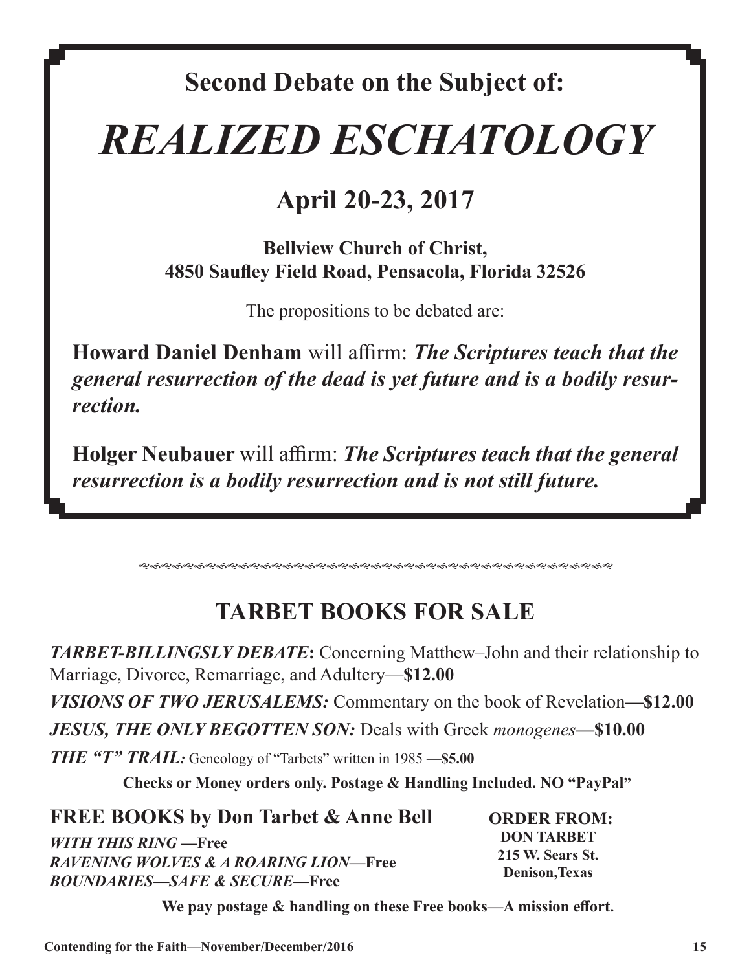## **Second Debate on the Subject of:**

# *REALIZED ESCHATOLOGY*

## **April 20-23, 2017**

**Bellview Church of Christ, 4850 Saufley Field Road, Pensacola, Florida 32526**

The propositions to be debated are:

**Howard Daniel Denham** will affirm: *The Scriptures teach that the general resurrection of the dead is yet future and is a bodily resurrection.*

**Holger Neubauer** will affirm: *The Scriptures teach that the general resurrection is a bodily resurrection and is not still future.*

gfgfgfgfgfgfgfgfgfgfgfgfgfgfgfgfgfgfgfgfgfg

## **TARBET BOOKS FOR SALE**

*TARBET-BILLINGSLY DEBATE***:** Concerning Matthew–John and their relationship to Marriage, Divorce, Remarriage, and Adultery—**\$12.00** *VISIONS OF TWO JERUSALEMS:* Commentary on the book of Revelation**—\$12.00**  *JESUS, THE ONLY BEGOTTEN SON:* Deals with Greek *monogenes—***\$10.00**  *THE "T" TRAIL:* Geneology of "Tarbets" written in 1985 —**\$5.00**

**Checks or Money orders only. Postage & Handling Included. NO "PayPal"**

**FREE BOOKS by Don Tarbet & Anne Bell** *WITH THIS RING —***Free** *RAVENING WOLVES & A ROARING LION—***Free** *BOUNDARIES—SAFE & SECURE—***Free** 

**ORDER FROM: DON TARBET 215 W. Sears St. Denison,Texas** 

**We pay postage & handling on these Free books—A mission effort.**